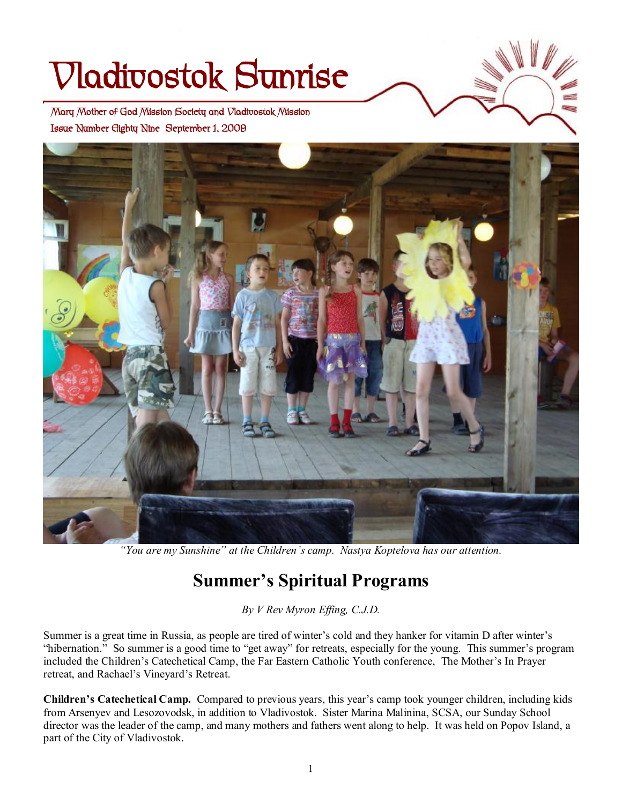# **Vladivostok Sunrise**

 **Issue Number Eighty Nine September 1, 2009 Mary Mother of God Mission Society and Vladivostok Mission** 



*"You are my Sunshine" at the Children's camp. Nastya Koptelova has our attention.* 

# **Summer's Spiritual Programs**

*By V Rev Myron Effing, C.J.D.* 

Summer is a great time in Russia, as people are tired of winter's cold and they hanker for vitamin D after winter's "hibernation." So summer is a good time to "get away" for retreats, especially for the young. This summer's program included the Children's Catechetical Camp, the Far Eastern Catholic Youth conference, The Mother's In Prayer retreat, and Rachael's Vineyard's Retreat.

**Children's Catechetical Camp.** Compared to previous years, this year's camp took younger children, including kids from Arsenyev and Lesozovodsk, in addition to Vladivostok. Sister Marina Malinina, SCSA, our Sunday School director was the leader of the camp, and many mothers and fathers went along to help. It was held on Popov Island, a part of the City of Vladivostok.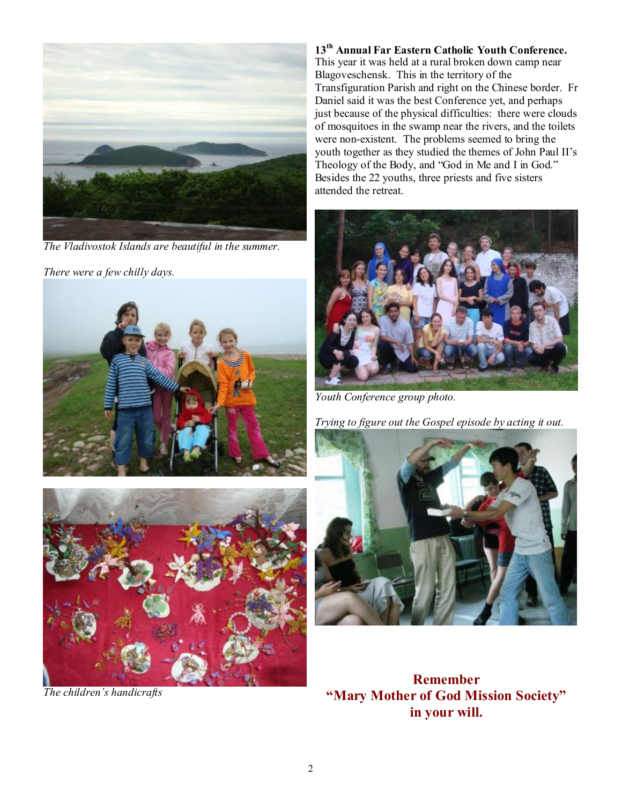

*The Vladivostok Islands are beautiful in the summer.* 

*There were a few chilly days.* 





*The children's handicrafts* 

**13th Annual Far Eastern Catholic Youth Conference.** This year it was held at a rural broken down camp near Blagoveschensk. This in the territory of the Transfiguration Parish and right on the Chinese border. Fr Daniel said it was the best Conference yet, and perhaps just because of the physical difficulties: there were clouds of mosquitoes in the swamp near the rivers, and the toilets were non-existent. The problems seemed to bring the youth together as they studied the themes of John Paul II's Theology of the Body, and "God in Me and I in God." Besides the 22 youths, three priests and five sisters attended the retreat.



*Youth Conference group photo.* 

*Trying to figure out the Gospel episode by acting it out.* 



**Remember "Mary Mother of God Mission Society" in your will.**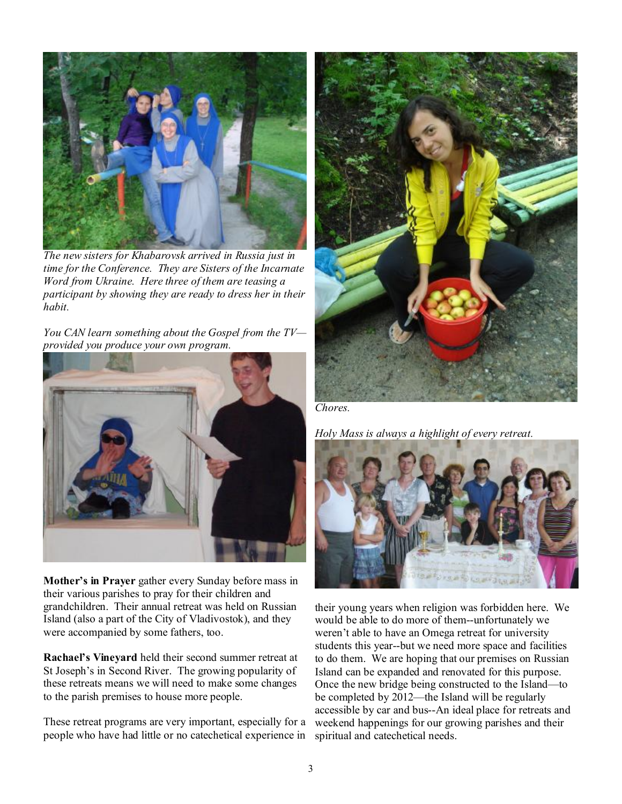

*The new sisters for Khabarovsk arrived in Russia just in time for the Conference. They are Sisters of the Incarnate Word from Ukraine. Here three of them are teasing a participant by showing they are ready to dress her in their habit.* 

*You CAN learn something about the Gospel from the TV provided you produce your own program.* 



**Mother's in Prayer** gather every Sunday before mass in their various parishes to pray for their children and grandchildren. Their annual retreat was held on Russian Island (also a part of the City of Vladivostok), and they were accompanied by some fathers, too.

**Rachael's Vineyard** held their second summer retreat at St Joseph's in Second River. The growing popularity of these retreats means we will need to make some changes to the parish premises to house more people.

These retreat programs are very important, especially for a people who have had little or no catechetical experience in



*Chores.* 

*Holy Mass is always a highlight of every retreat.* 



their young years when religion was forbidden here. We would be able to do more of them--unfortunately we weren't able to have an Omega retreat for university students this year--but we need more space and facilities to do them. We are hoping that our premises on Russian Island can be expanded and renovated for this purpose. Once the new bridge being constructed to the Island—to be completed by 2012—the Island will be regularly accessible by car and bus--An ideal place for retreats and weekend happenings for our growing parishes and their spiritual and catechetical needs.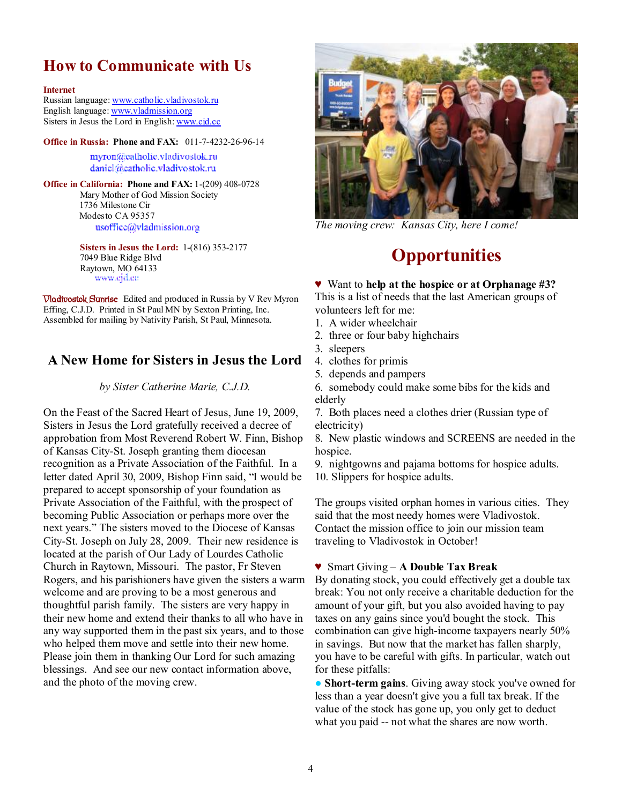## **How to Communicate with Us**

#### **Internet**

Russian language: [www.catholic.vladivostok.ru](http://www.catholic.vladivostok.ru) English language: [www.vladmission.org](http://www.vladmission.org) Sisters in Jesus the Lord in English: [www.cjd.cc](http://www.cjd.cc)

**Office in Russia: Phone and FAX:** 011-7-4232-26-96-14

myron@catholic.vladivostok.ru daniel@catholic.vladivostok.ru

**Office in California: Phone and FAX:** 1-(209) 408-0728 Mary Mother of God Mission Society 1736 Milestone Cir Modesto CA 95357 usoffice@vladmission.org

> **Sisters in Jesus the Lord:** 1-(816) 353-2177 7049 Blue Ridge Blvd Raytown, MO 64133 www.ejd.ee

**Vladivostok Sunrise** Edited and produced in Russia by V Rev Myron Effing, C.J.D. Printed in St Paul MN by Sexton Printing, Inc. Assembled for mailing by Nativity Parish, St Paul, Minnesota.

## **A New Home for Sisters in Jesus the Lord**

*by Sister Catherine Marie, C.J.D.* 

On the Feast of the Sacred Heart of Jesus, June 19, 2009, Sisters in Jesus the Lord gratefully received a decree of approbation from Most Reverend Robert W. Finn, Bishop of Kansas City-St. Joseph granting them diocesan recognition as a Private Association of the Faithful. In a letter dated April 30, 2009, Bishop Finn said, "I would be prepared to accept sponsorship of your foundation as Private Association of the Faithful, with the prospect of becoming Public Association or perhaps more over the next years." The sisters moved to the Diocese of Kansas City-St. Joseph on July 28, 2009. Their new residence is located at the parish of Our Lady of Lourdes Catholic Church in Raytown, Missouri. The pastor, Fr Steven Rogers, and his parishioners have given the sisters a warm welcome and are proving to be a most generous and thoughtful parish family. The sisters are very happy in their new home and extend their thanks to all who have in any way supported them in the past six years, and to those who helped them move and settle into their new home. Please join them in thanking Our Lord for such amazing blessings. And see our new contact information above, and the photo of the moving crew.



*The moving crew: Kansas City, here I come!* 

## **Opportunities**

♥ Want to **help at the hospice or at Orphanage #3?**

This is a list of needs that the last American groups of volunteers left for me:

- 1. A wider wheelchair
- 2. three or four baby highchairs
- 3. sleepers
- 4. clothes for primis
- 5. depends and pampers

6. somebody could make some bibs for the kids and elderly

7. Both places need a clothes drier (Russian type of electricity)

8. New plastic windows and SCREENS are needed in the hospice.

9. nightgowns and pajama bottoms for hospice adults. 10. Slippers for hospice adults.

The groups visited orphan homes in various cities. They said that the most needy homes were Vladivostok. Contact the mission office to join our mission team traveling to Vladivostok in October!

### ♥ Smart Giving – **A Double Tax Break**

By donating stock, you could effectively get a double tax break: You not only receive a charitable deduction for the amount of your gift, but you also avoided having to pay taxes on any gains since you'd bought the stock. This combination can give high-income taxpayers nearly 50% in savings. But now that the market has fallen sharply, you have to be careful with gifts. In particular, watch out for these pitfalls:

● **Short-term gains**. Giving away stock you've owned for less than a year doesn't give you a full tax break. If the value of the stock has gone up, you only get to deduct what you paid -- not what the shares are now worth.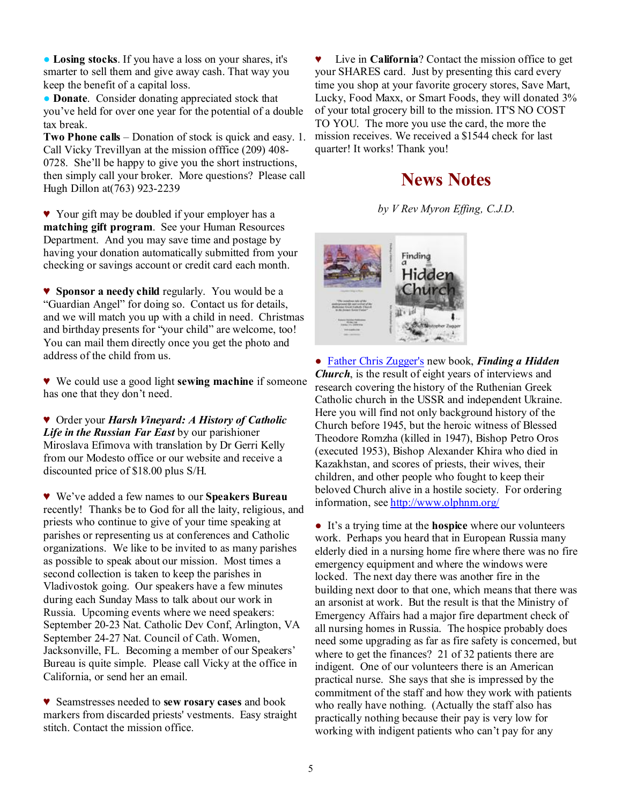● **Losing stocks**. If you have a loss on your shares, it's smarter to sell them and give away cash. That way you keep the benefit of a capital loss.

● **Donate**. Consider donating appreciated stock that you've held for over one year for the potential of a double tax break.

**Two Phone calls** – Donation of stock is quick and easy. 1. Call Vicky Trevillyan at the mission offfice (209) 408- 0728. She'll be happy to give you the short instructions, then simply call your broker. More questions? Please call Hugh Dillon at(763) 923-2239

♥ Your gift may be doubled if your employer has a **matching gift program**. See your Human Resources Department. And you may save time and postage by having your donation automatically submitted from your checking or savings account or credit card each month.

♥ **Sponsor a needy child** regularly. You would be a "Guardian Angel" for doing so. Contact us for details, and we will match you up with a child in need. Christmas and birthday presents for "your child" are welcome, too! You can mail them directly once you get the photo and address of the child from us.

♥ We could use a good light **sewing machine** if someone has one that they don't need.

♥ Order your *Harsh Vineyard: A History of Catholic Life in the Russian Far East* by our parishioner Miroslava Efimova with translation by Dr Gerri Kelly from our Modesto office or our website and receive a discounted price of \$18.00 plus S/H.

♥ We've added a few names to our **Speakers Bureau** recently! Thanks be to God for all the laity, religious, and priests who continue to give of your time speaking at parishes or representing us at conferences and Catholic organizations. We like to be invited to as many parishes as possible to speak about our mission. Most times a second collection is taken to keep the parishes in Vladivostok going. Our speakers have a few minutes during each Sunday Mass to talk about our work in Russia. Upcoming events where we need speakers: September 20-23 Nat. Catholic Dev Conf, Arlington, VA September 24-27 Nat. Council of Cath. Women, Jacksonville, FL. Becoming a member of our Speakers' Bureau is quite simple. Please call Vicky at the office in California, or send her an email.

♥ Seamstresses needed to **sew rosary cases** and book markers from discarded priests' vestments. Easy straight stitch. Contact the mission office.

♥ Live in **California**? Contact the mission office to get your SHARES card. Just by presenting this card every time you shop at your favorite grocery stores, Save Mart, Lucky, Food Maxx, or Smart Foods, they will donated 3% of your total grocery bill to the mission. IT'S NO COST TO YOU. The more you use the card, the more the mission receives. We received a \$1544 check for last quarter! It works! Thank you!

## **News Notes**

*by V Rev Myron Effing, C.J.D.*



● Father Chris Zugger's new book, *Finding a Hidden Church*, is the result of eight years of interviews and research covering the history of the Ruthenian Greek Catholic church in the USSR and independent Ukraine. Here you will find not only background history of the Church before 1945, but the heroic witness of Blessed Theodore Romzha (killed in 1947), Bishop Petro Oros (executed 1953), Bishop Alexander Khira who died in Kazakhstan, and scores of priests, their wives, their children, and other people who fought to keep their beloved Church alive in a hostile society. For ordering information, see<http://www.olphnm.org/>

● It's a trying time at the **hospice** where our volunteers work. Perhaps you heard that in European Russia many elderly died in a nursing home fire where there was no fire emergency equipment and where the windows were locked. The next day there was another fire in the building next door to that one, which means that there was an arsonist at work. But the result is that the Ministry of Emergency Affairs had a major fire department check of all nursing homes in Russia. The hospice probably does need some upgrading as far as fire safety is concerned, but where to get the finances? 21 of 32 patients there are indigent. One of our volunteers there is an American practical nurse. She says that she is impressed by the commitment of the staff and how they work with patients who really have nothing. (Actually the staff also has practically nothing because their pay is very low for working with indigent patients who can't pay for any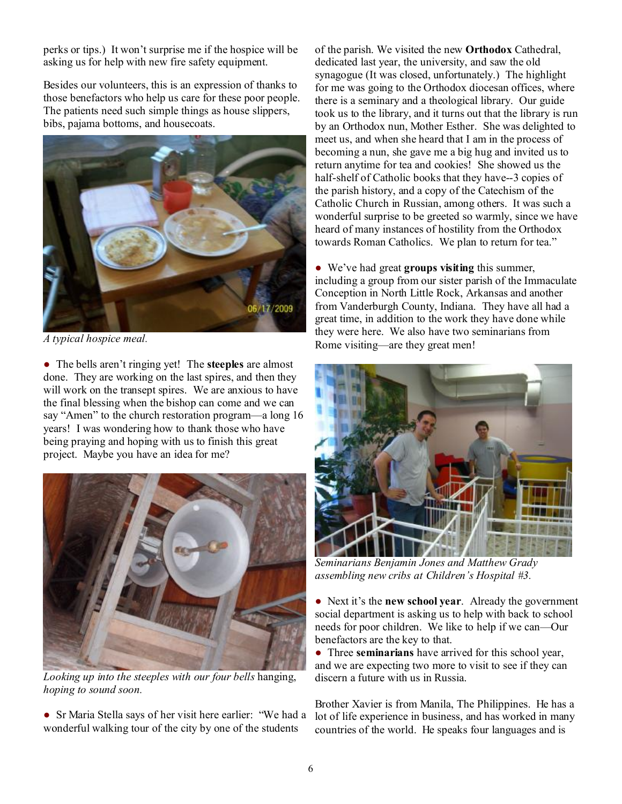perks or tips.) It won't surprise me if the hospice will be asking us for help with new fire safety equipment.

Besides our volunteers, this is an expression of thanks to those benefactors who help us care for these poor people. The patients need such simple things as house slippers, bibs, pajama bottoms, and housecoats.



*A typical hospice meal.* 

● The bells aren't ringing yet! The **steeples** are almost done. They are working on the last spires, and then they will work on the transept spires. We are anxious to have the final blessing when the bishop can come and we can say "Amen" to the church restoration program—a long 16 years! I was wondering how to thank those who have being praying and hoping with us to finish this great project. Maybe you have an idea for me?



*Looking up into the steeples with our four bells* hanging, *hoping to sound soon.* 

● Sr Maria Stella says of her visit here earlier: "We had a wonderful walking tour of the city by one of the students

of the parish. We visited the new **Orthodox** Cathedral, dedicated last year, the university, and saw the old synagogue (It was closed, unfortunately.) The highlight for me was going to the Orthodox diocesan offices, where there is a seminary and a theological library. Our guide took us to the library, and it turns out that the library is run by an Orthodox nun, Mother Esther. She was delighted to meet us, and when she heard that I am in the process of becoming a nun, she gave me a big hug and invited us to return anytime for tea and cookies! She showed us the half-shelf of Catholic books that they have--3 copies of the parish history, and a copy of the Catechism of the Catholic Church in Russian, among others. It was such a wonderful surprise to be greeted so warmly, since we have heard of many instances of hostility from the Orthodox towards Roman Catholics. We plan to return for tea."

● We've had great **groups visiting** this summer, including a group from our sister parish of the Immaculate Conception in North Little Rock, Arkansas and another from Vanderburgh County, Indiana. They have all had a great time, in addition to the work they have done while they were here. We also have two seminarians from Rome visiting—are they great men!



*Seminarians Benjamin Jones and Matthew Grady assembling new cribs at Children's Hospital #3.* 

● Next it's the **new school year**. Already the government social department is asking us to help with back to school needs for poor children. We like to help if we can—Our benefactors are the key to that.

● Three **seminarians** have arrived for this school year, and we are expecting two more to visit to see if they can discern a future with us in Russia.

Brother Xavier is from Manila, The Philippines. He has a lot of life experience in business, and has worked in many countries of the world. He speaks four languages and is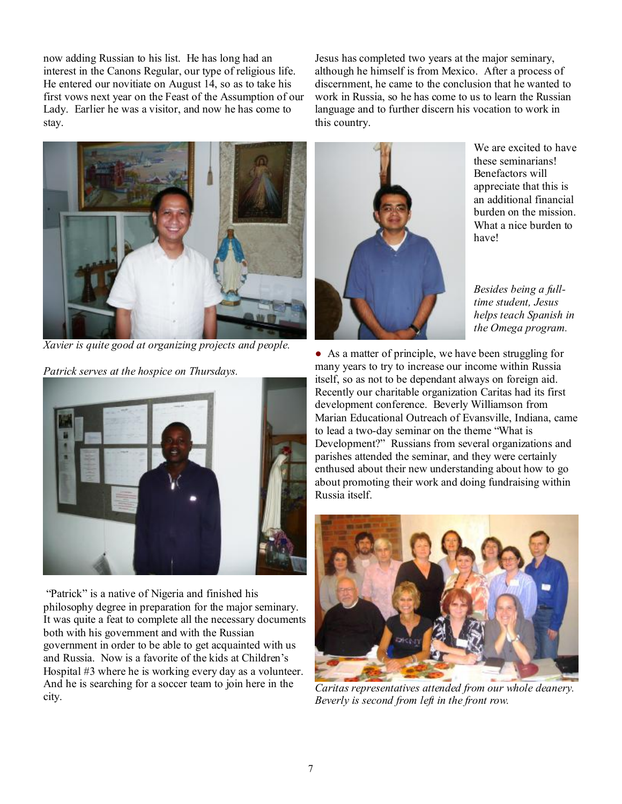now adding Russian to his list. He has long had an interest in the Canons Regular, our type of religious life. He entered our novitiate on August 14, so as to take his first vows next year on the Feast of the Assumption of our Lady. Earlier he was a visitor, and now he has come to stay.

Jesus has completed two years at the major seminary, although he himself is from Mexico. After a process of discernment, he came to the conclusion that he wanted to work in Russia, so he has come to us to learn the Russian language and to further discern his vocation to work in this country.



*Xavier is quite good at organizing projects and people.* 

*Patrick serves at the hospice on Thursdays.* 



"Patrick" is a native of Nigeria and finished his philosophy degree in preparation for the major seminary. It was quite a feat to complete all the necessary documents both with his government and with the Russian government in order to be able to get acquainted with us and Russia. Now is a favorite of the kids at Children's Hospital #3 where he is working every day as a volunteer. And he is searching for a soccer team to join here in the city.



We are excited to have these seminarians! Benefactors will appreciate that this is an additional financial burden on the mission. What a nice burden to have!

*Besides being a fulltime student, Jesus helps teach Spanish in the Omega program.* 

● As a matter of principle, we have been struggling for many years to try to increase our income within Russia itself, so as not to be dependant always on foreign aid. Recently our charitable organization Caritas had its first development conference. Beverly Williamson from Marian Educational Outreach of Evansville, Indiana, came to lead a two-day seminar on the theme "What is Development?" Russians from several organizations and parishes attended the seminar, and they were certainly enthused about their new understanding about how to go about promoting their work and doing fundraising within Russia itself.



*Caritas representatives attended from our whole deanery. Beverly is second from left in the front row.*